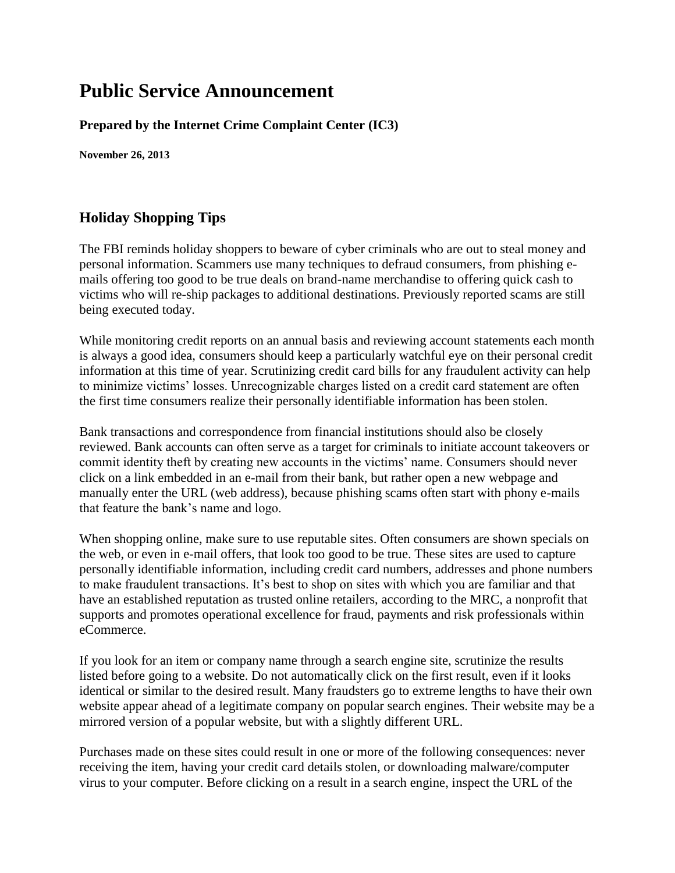## **Public Service Announcement**

**Prepared by the Internet Crime Complaint Center (IC3)**

**November 26, 2013** 

## **Holiday Shopping Tips**

The FBI reminds holiday shoppers to beware of cyber criminals who are out to steal money and personal information. Scammers use many techniques to defraud consumers, from phishing emails offering too good to be true deals on brand-name merchandise to offering quick cash to victims who will re-ship packages to additional destinations. Previously reported scams are still being executed today.

While monitoring credit reports on an annual basis and reviewing account statements each month is always a good idea, consumers should keep a particularly watchful eye on their personal credit information at this time of year. Scrutinizing credit card bills for any fraudulent activity can help to minimize victims' losses. Unrecognizable charges listed on a credit card statement are often the first time consumers realize their personally identifiable information has been stolen.

Bank transactions and correspondence from financial institutions should also be closely reviewed. Bank accounts can often serve as a target for criminals to initiate account takeovers or commit identity theft by creating new accounts in the victims' name. Consumers should never click on a link embedded in an e-mail from their bank, but rather open a new webpage and manually enter the URL (web address), because phishing scams often start with phony e-mails that feature the bank's name and logo.

When shopping online, make sure to use reputable sites. Often consumers are shown specials on the web, or even in e-mail offers, that look too good to be true. These sites are used to capture personally identifiable information, including credit card numbers, addresses and phone numbers to make fraudulent transactions. It's best to shop on sites with which you are familiar and that have an established reputation as trusted online retailers, according to the MRC, a nonprofit that supports and promotes operational excellence for fraud, payments and risk professionals within eCommerce.

If you look for an item or company name through a search engine site, scrutinize the results listed before going to a website. Do not automatically click on the first result, even if it looks identical or similar to the desired result. Many fraudsters go to extreme lengths to have their own website appear ahead of a legitimate company on popular search engines. Their website may be a mirrored version of a popular website, but with a slightly different URL.

Purchases made on these sites could result in one or more of the following consequences: never receiving the item, having your credit card details stolen, or downloading malware/computer virus to your computer. Before clicking on a result in a search engine, inspect the URL of the